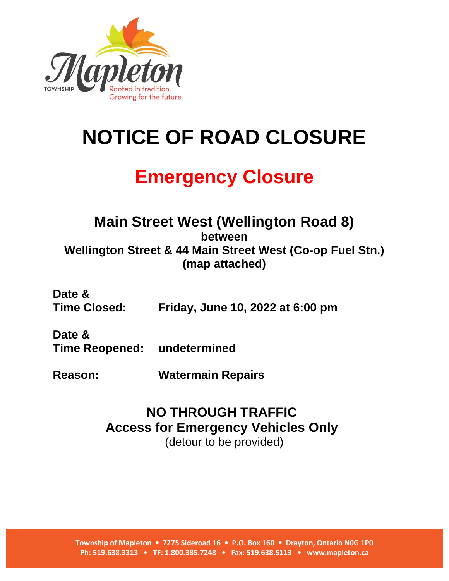

## **NOTICE OF ROAD CLOSURE**

## **Emergency Closure**

## **Main Street West (Wellington Road 8) between Wellington Street & 44 Main Street West (Co-op Fuel Stn.) (map attached)**

**Date & Time Closed: Friday, June 10, 2022 at 6:00 pm**

**Date & Time Reopened: undetermined**

**Reason: Watermain Repairs**

## **NO THROUGH TRAFFIC Access for Emergency Vehicles Only** (detour to be provided)

**Township of Mapleton • 7275 Sideroad 16 • P.O. Box 160 • Drayton, Ontario N0G 1P0 Ph: 519.638.3313 • TF: 1.800.385.7248 • Fax: 519.638.5113 • www.mapleton.ca**